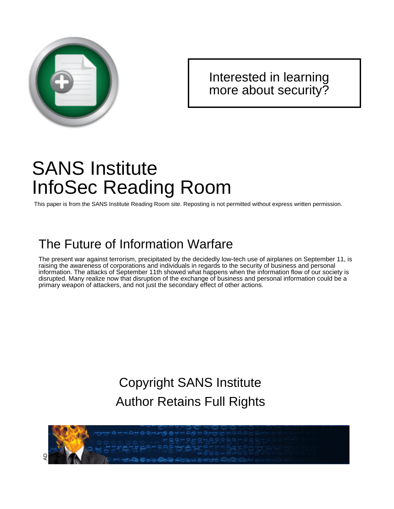

### [Interested in learning](http://www.sans.org/info/36923) more about security?

## SANS Institute InfoSec Reading Room

This paper is from the SANS Institute Reading Room site. Reposting is not permitted without express written permission.

## The Future of Information Warfare

The present war against terrorism, precipitated by the decidedly low-tech use of airplanes on September 11, is raising the awareness of corporations and individuals in regards to the security of business and personal information. The attacks of September 11th showed what happens when the information flow of our society is disrupted. Many realize now that disruption of the exchange of business and personal information could be a primary weapon of attackers, and not just the secondary effect of other actions.

> Copyright SANS Institute [Author Retains Full Rights](http://www.sans.org/info/36914)

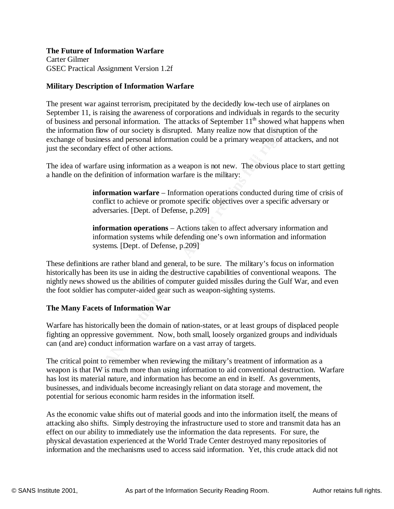#### **The Future of Information Warfare**

Carter Gilmer GSEC Practical Assignment Version 1.2f

#### **Military Description of Information Warfare**

The present war against terrorism, precipitated by the decidedly low-tech use of airplanes on September 11, is raising the awareness of corporations and individuals in regards to the security of business and personal information. The attacks of September  $11<sup>th</sup>$  showed what happens when the information flow of our society is disrupted. Many realize now that disruption of the exchange of business and personal information could be a primary weapon of attackers, and not just the secondary effect of other actions.

The idea of warfare using information as a weapon is not new. The obvious place to start getting a handle on the definition of information warfare is the military:

> **information warfare** – Information operations conducted during time of crisis of conflict to achieve or promote specific objectives over a specific adversary or adversaries. [Dept. of Defense, p.209]

**information operations** – Actions taken to affect adversary information and information systems while defending one's own information and information systems. [Dept. of Defense, p.209]

personal minimation. Ine autacks of september 11 showed with<br>an flow of our society is disrupted. Many realize now that disrupti<br>usiness and personal information could be a primary weapon of at<br>arge effect of other actions These definitions are rather bland and general, to be sure. The military's focus on information historically has been its use in aiding the destructive capabilities of conventional weapons. The nightly news showed us the abilities of computer guided missiles during the Gulf War, and even the foot soldier has computer-aided gear such as weapon-sighting systems.

#### **The Many Facets of Information War**

Warfare has historically been the domain of nation-states, or at least groups of displaced people fighting an oppressive government. Now, both small, loosely organized groups and individuals can (and are) conduct information warfare on a vast array of targets.

The critical point to remember when reviewing the military's treatment of information as a weapon is that IW is much more than using information to aid conventional destruction. Warfare has lost its material nature, and information has become an end in itself. As governments, businesses, and individuals become increasingly reliant on data storage and movement, the potential for serious economic harm resides in the information itself.

attacking also shifts. Simply destroying the infrastructure used to store and transmit data has an As the economic value shifts out of material goods and into the information itself, the means of effect on our ability to immediately use the information the data represents. For sure, the physical devastation experienced at the World Trade Center destroyed many repositories of information and the mechanisms used to access said information. Yet, this crude attack did not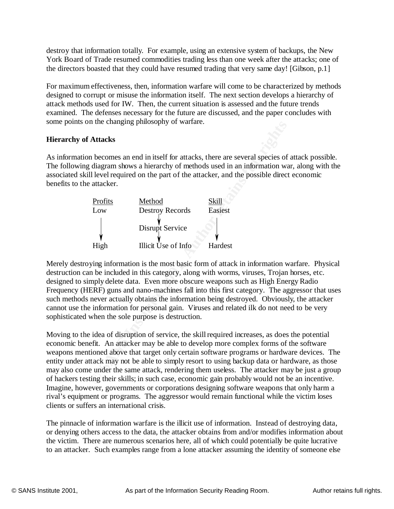destroy that information totally. For example, using an extensive system of backups, the New York Board of Trade resumed commodities trading less than one week after the attacks; one of the directors boasted that they could have resumed trading that very same day! [Gibson, p.1]

For maximum effectiveness, then, information warfare will come to be characterized by methods designed to corrupt or misuse the information itself. The next section develops a hierarchy of attack methods used for IW. Then, the current situation is assessed and the future trends examined. The defenses necessary for the future are discussed, and the paper concludes with some points on the changing philosophy of warfare.

#### **Hierarchy of Attacks**

As information becomes an end in itself for attacks, there are several species of attack possible. The following diagram shows a hierarchy of methods used in an information war, along with the associated skill level required on the part of the attacker, and the possible direct economic benefits to the attacker.

| Profits<br>Low | Method<br><b>Destroy Records</b> | Skill<br>Easiest |
|----------------|----------------------------------|------------------|
|                | Disrupt Service                  |                  |
| High           | Illicit Use of Info              | Hardest          |

The enanging philosophy of warrare.<br> **Attacks**<br>
In becomes an end in itself for attacks, there are several species of<br>
diagram shows a hierarchy of methods used in an information was<br>
llevel required on the part of the att Merely destroying information is the most basic form of attack in information warfare. Physical destruction can be included in this category, along with worms, viruses, Trojan horses, etc. designed to simply delete data. Even more obscure weapons such as High Energy Radio Frequency (HERF) guns and nano-machines fall into this first category. The aggressor that uses such methods never actually obtains the information being destroyed. Obviously, the attacker cannot use the information for personal gain. Viruses and related ilk do not need to be very sophisticated when the sole purpose is destruction.

Moving to the idea of disruption of service, the skill required increases, as does the potential economic benefit. An attacker may be able to develop more complex forms of the software weapons mentioned above that target only certain software programs or hardware devices. The entity under attack may not be able to simply resort to using backup data or hardware, as those may also come under the same attack, rendering them useless. The attacker may be just a group of hackers testing their skills; in such case, economic gain probably would not be an incentive. Imagine, however, governments or corporations designing software weapons that only harm a rival's equipment or programs. The aggressor would remain functional while the victim loses clients or suffers an international crisis.

The pinnacle of information warfare is the illicit use of information. Instead of destroying data, or denying others access to the data, the attacker obtains from and/or modifies information about the victim. There are numerous scenarios here, all of which could potentially be quite lucrative to an attacker. Such examples range from a lone attacker assuming the identity of someone else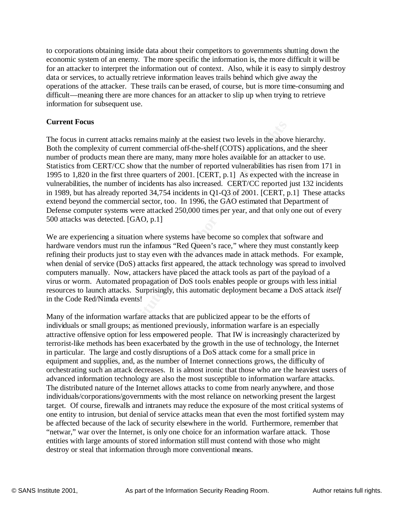to corporations obtaining inside data about their competitors to governments shutting down the economic system of an enemy. The more specific the information is, the more difficult it will be for an attacker to interpret the information out of context. Also, while it is easy to simply destroy data or services, to actually retrieve information leaves trails behind which give away the operations of the attacker. These trails can be erased, of course, but is more time-consuming and difficult—meaning there are more chances for an attacker to slip up when trying to retrieve information for subsequent use.

#### **Current Focus**

**SS**<br> **SS**<br> **SS**<br> **SS**<br> **SS**<br> **EXECTIVE CUTE COTECT AND**<br> **SS**<br> **EXECT**/CC show that the number of reported vulnerabilities has a CERT/CC show that the number of reported vulnerabilities has in the first three quarters of number of products mean there are many, many more holes available for an attacker to use. The focus in current attacks remains mainly at the easiest two levels in the above hierarchy. Both the complexity of current commercial off-the-shelf (COTS) applications, and the sheer Statistics from CERT/CC show that the number of reported vulnerabilities has risen from 171 in 1995 to 1,820 in the first three quarters of 2001. [CERT, p.1] As expected with the increase in vulnerabilities, the number of incidents has also increased. CERT/CC reported just 132 incidents in 1989, but has already reported 34,754 incidents in Q1-Q3 of 2001. [CERT, p.1] These attacks extend beyond the commercial sector, too. In 1996, the GAO estimated that Department of Defense computer systems were attacked 250,000 times per year, and that only one out of every 500 attacks was detected. [GAO, p.1]

We are experiencing a situation where systems have become so complex that software and hardware vendors must run the infamous "Red Queen's race," where they must constantly keep refining their products just to stay even with the advances made in attack methods. For example, when denial of service (DoS) attacks first appeared, the attack technology was spread to involved computers manually. Now, attackers have placed the attack tools as part of the payload of a virus or worm. Automated propagation of DoS tools enables people or groups with less initial resources to launch attacks. Surprisingly, this automatic deployment became a DoS attack *itself* in the Code Red/Nimda events!

be affected because of the lack of security elsewhere in the world. Furthermore, remember that Many of the information warfare attacks that are publicized appear to be the efforts of individuals or small groups; as mentioned previously, information warfare is an especially attractive offensive option for less empowered people. That IW is increasingly characterized by terrorist-like methods has been exacerbated by the growth in the use of technology, the Internet in particular. The large and costly disruptions of a DoS attack come for a small price in equipment and supplies, and, as the number of Internet connections grows, the difficulty of orchestrating such an attack decreases. It is almost ironic that those who are the heaviest users of advanced information technology are also the most susceptible to information warfare attacks. The distributed nature of the Internet allows attacks to come from nearly anywhere, and those individuals/corporations/governments with the most reliance on networking present the largest target. Of course, firewalls and intranets may reduce the exposure of the most critical systems of one entity to intrusion, but denial of service attacks mean that even the most fortified system may "netwar," war over the Internet, is only one choice for an information warfare attack. Those entities with large amounts of stored information still must contend with those who might destroy or steal that information through more conventional means.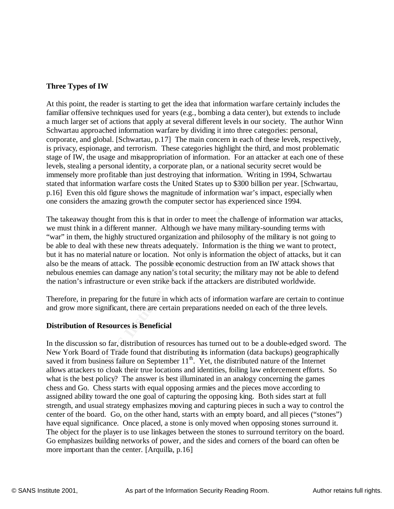#### **Three Types of IW**

set or actions unappy at several unterent levels in our society.<br>
seproached information warfare by dividing it into three categories:<br>
I global. [Schwartau, p.17] The main concern in each of these level<br>
in gage, and terr stage of IW, the usage and misappropriation of information. For an attacker at each one of these At this point, the reader is starting to get the idea that information warfare certainly includes the familiar offensive techniques used for years (e.g., bombing a data center), but extends to include a much larger set of actions that apply at several different levels in our society. The author Winn Schwartau approached information warfare by dividing it into three categories: personal, corporate, and global. [Schwartau, p.17] The main concern in each of these levels, respectively, is privacy, espionage, and terrorism. These categories highlight the third, and most problematic levels, stealing a personal identity, a corporate plan, or a national security secret would be immensely more profitable than just destroying that information. Writing in 1994, Schwartau stated that information warfare costs the United States up to \$300 billion per year. [Schwartau, p.16] Even this old figure shows the magnitude of information war's impact, especially when one considers the amazing growth the computer sector has experienced since 1994.

The takeaway thought from this is that in order to meet the challenge of information war attacks, we must think in a different manner. Although we have many military-sounding terms with "war" in them, the highly structured organization and philosophy of the military is not going to be able to deal with these new threats adequately. Information is the thing we want to protect, but it has no material nature or location. Not only is information the object of attacks, but it can also be the means of attack. The possible economic destruction from an IW attack shows that nebulous enemies can damage any nation's total security; the military may not be able to defend the nation's infrastructure or even strike back if the attackers are distributed worldwide.

Therefore, in preparing for the future in which acts of information warfare are certain to continue and grow more significant, there are certain preparations needed on each of the three levels.

#### **Distribution of Resources is Beneficial**

have equal significance. Once placed, a stone is only moved when opposing stones surround it. In the discussion so far, distribution of resources has turned out to be a double-edged sword. The New York Board of Trade found that distributing its information (data backups) geographically saved it from business failure on September  $11<sup>th</sup>$ . Yet, the distributed nature of the Internet allows attackers to cloak their true locations and identities, foiling law enforcement efforts. So what is the best policy? The answer is best illuminated in an analogy concerning the games chess and Go. Chess starts with equal opposing armies and the pieces move according to assigned ability toward the one goal of capturing the opposing king. Both sides start at full strength, and usual strategy emphasizes moving and capturing pieces in such a way to control the center of the board. Go, on the other hand, starts with an empty board, and all pieces ("stones") The object for the player is to use linkages between the stones to surround territory on the board. Go emphasizes building networks of power, and the sides and corners of the board can often be more important than the center. [Arquilla, p.16]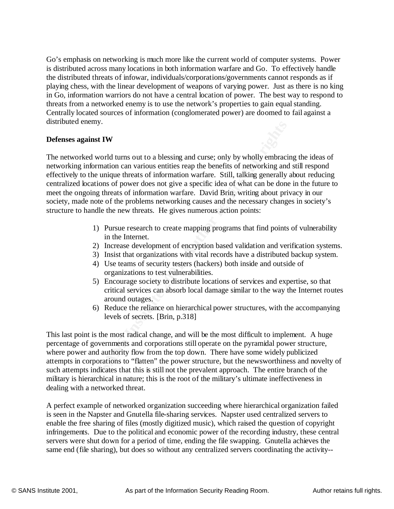Go's emphasis on networking is much more like the current world of computer systems. Power is distributed across many locations in both information warfare and Go. To effectively handle the distributed threats of infowar, individuals/corporations/governments cannot responds as if playing chess, with the linear development of weapons of varying power. Just as there is no king in Go, information warriors do not have a central location of power. The best way to respond to threats from a networked enemy is to use the network's properties to gain equal standing. Centrally located sources of information (conglomerated power) are doomed to fail against a distributed enemy.

#### **Defenses against IW**

**© SANS Institute 2001, Author retains full rights** The networked world turns out to a blessing and curse; only by wholly embracing the ideas of networking information can various entities reap the benefits of networking and still respond effectively to the unique threats of information warfare. Still, talking generally about reducing centralized locations of power does not give a specific idea of what can be done in the future to meet the ongoing threats of information warfare. David Brin, writing about privacy in our society, made note of the problems networking causes and the necessary changes in society's structure to handle the new threats. He gives numerous action points:

- 1) Pursue research to create mapping programs that find points of vulnerability in the Internet.
- 2) Increase development of encryption based validation and verification systems.
- 3) Insist that organizations with vital records have a distributed backup system.
- 4) Use teams of security testers (hackers) both inside and outside of organizations to test vulnerabilities.
- 5) Encourage society to distribute locations of services and expertise, so that critical services can absorb local damage similar to the way the Internet routes around outages.
- 6) Reduce the reliance on hierarchical power structures, with the accompanying levels of secrets. [Brin, p.318]

This last point is the most radical change, and will be the most difficult to implement. A huge percentage of governments and corporations still operate on the pyramidal power structure, where power and authority flow from the top down. There have some widely publicized attempts in corporations to "flatten" the power structure, but the newsworthiness and novelty of such attempts indicates that this is still not the prevalent approach. The entire branch of the military is hierarchical in nature; this is the root of the military's ultimate ineffectiveness in dealing with a networked threat.

enable the free sharing of files (mostly digitized music), which raised the question of copyright A perfect example of networked organization succeeding where hierarchical organization failed is seen in the Napster and Gnutella file-sharing services. Napster used centralized servers to infringements. Due to the political and economic power of the recording industry, these central servers were shut down for a period of time, ending the file swapping. Gnutella achieves the same end (file sharing), but does so without any centralized servers coordinating the activity--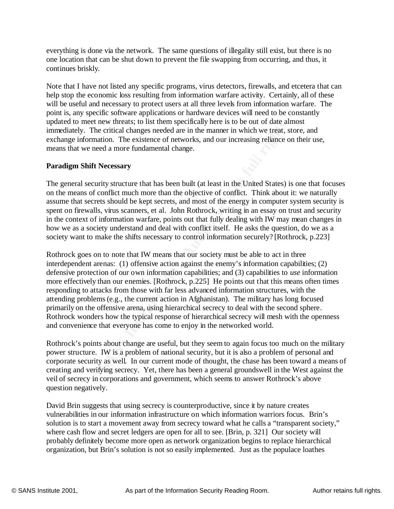everything is done via the network. The same questions of illegality still exist, but there is no one location that can be shut down to prevent the file swapping from occurring, and thus, it continues briskly.

Note that I have not listed any specific programs, virus detectors, firewalls, and etcetera that can help stop the economic loss resulting from information warfare activity. Certainly, all of these will be useful and necessary to protect users at all three levels from information warfare. The point is, any specific software applications or hardware devices will need to be constantly updated to meet new threats; to list them specifically here is to be out of date almost immediately. The critical changes needed are in the manner in which we treat, store, and exchange information. The existence of networks, and our increasing reliance on their use, means that we need a more fundamental change.

#### **Paradigm Shift Necessary**

The general security structure that has been built (at least in the United States) is one that focuses on the means of conflict much more than the objective of conflict. Think about it: we naturally assume that secrets should be kept secrets, and most of the energy in computer system security is spent on firewalls, virus scanners, et al. John Rothrock, writing in an essay on trust and security in the context of information warfare, points out that fully dealing with IW may mean changes in how we as a society understand and deal with conflict itself. He asks the question, do we as a society want to make the shifts necessary to control information securely? [Rothrock, p.223]

Et lew tureats; ionstitute means prenically neter the ore out of order and the increasing the state, and our increasing reliance of the critical changes needed are in the manner in which we treat, symmation. The existence Rothrock goes on to note that IW means that our society must be able to act in three interdependent arenas: (1) offensive action against the enemy's information capabilities; (2) defensive protection of our own information capabilities; and (3) capabilities to *use* information more effectively than our enemies. [Rothrock, p.225] He points out that this means often times responding to attacks from those with far less advanced information structures, with the attending problems (e.g., the current action in Afghanistan). The military has long focused primarily on the offensive arena, using hierarchical secrecy to deal with the second sphere. Rothrock wonders how the typical response of hierarchical secrecy will mesh with the openness and convenience that everyone has come to enjoy in the networked world.

Rothrock's points about change are useful, but they seem to again focus too much on the military power structure. IW is a problem of national security, but it is also a problem of personal and corporate security as well. In our current mode of thought, the chase has been toward a means of creating and verifying secrecy. Yet, there has been a general groundswell in the West against the veil of secrecy in corporations and government, which seems to answer Rothrock's above question negatively.

solution is to start a movement away from secrecy toward what he calls a "transparent society," David Brin suggests that using secrecy is counterproductive, since it by nature creates vulnerabilities in our information infrastructure on which information warriors focus. Brin's where cash flow and secret ledgers are open for all to see. [Brin, p. 321] Our society will probably definitely become more open as network organization begins to replace hierarchical organization, but Brin's solution is not so easily implemented. Just as the populace loathes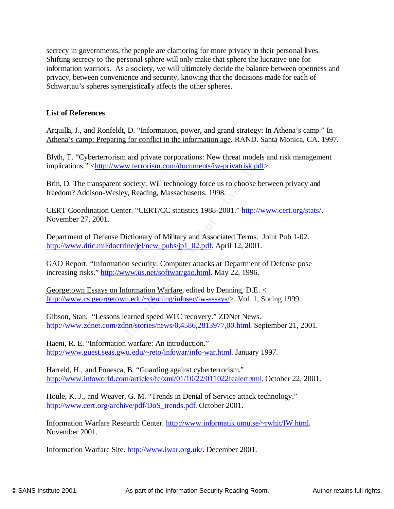secrecy in governments, the people are clamoring for more privacy in their personal lives. Shifting secrecy to the personal sphere will only make that sphere the lucrative one for information warriors. As a society, we will ultimately decide the balance between openness and privacy, between convenience and security, knowing that the decisions made for each of Schwartau's spheres synergistically affects the other spheres.

#### **List of References**

Arquilla, J., and Ronfeldt, D. "Information, power, and grand strategy: In Athena's camp." In Athena's camp: Preparing for conflict in the information age. RAND. Santa Monica, CA. 1997.

retained Ronfeldt, D. "Information, power, and grand strategy: In Ather prices and private corporations: New threat models and risk <http://www.terrorism.com/documents/iw-privatrisk-pdf>.<br>
xansparent society: Will technolo Blyth, T. "Cyberterrorism and private corporations: New threat models and risk management implications." <http://www.terrorism.com/documents/iw-privatrisk.pdf>.

Brin, D. The transparent society: Will technology force us to choose between privacy and freedom? Addison-Wesley, Reading, Massachusetts. 1998.

CERT Coordination Center. "CERT/CC statistics 1988-2001." http://www.cert.org/stats/. November 27, 2001.

Department of Defense Dictionary of Military and Associated Terms. Joint Pub 1-02. http://www.dtic.mil/doctrine/jel/new\_pubs/jp1\_02.pdf. April 12, 2001.

GAO Report. "Information security: Computer attacks at Department of Defense pose increasing risks." http://www.us.net/softwar/gao.html. May 22, 1996.

Georgetown Essays on Information Warfare, edited by Denning, D.E. < http://www.cs.georgetown.edu/~denning/infosec/iw-essays/>. Vol. 1, Spring 1999.

Gibson, Stan. "Lessons learned speed WTC recovery." ZDNet News. http://www.zdnet.com/zdnn/stories/news/0,4586,2813977,00.html. September 21, 2001.

Haeni, R. E. "Information warfare: An introduction." http://www.guest.seas.gwu.edu/~reto/infowar/info-war.html. January 1997.

Harreld, H., and Fonesca, B. "Guarding against cyberterrorism." http://www.infoworld.com/articles/fe/xml/01/10/22/011022fealert.xml. October 22, 2001.

Houle, K. J., and Weaver, G. M. "Trends in Denial of Service attack technology." http://www.cert.org/archive/pdf/DoS\_trends.pdf. October 2001.

Information Warfare Research Center. http://www.informatik.umu.se/~rwhit/IW.html. November 2001.

Information Warfare Site. http://www.iwar.org.uk/. December 2001.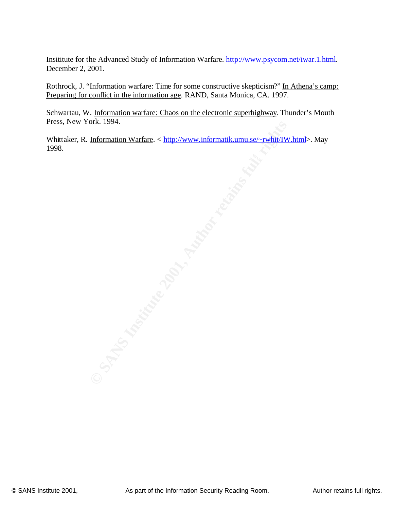Insititute for the Advanced Study of Information Warfare. http://www.psycom.net/iwar.1.html. December 2, 2001.

Rothrock, J. "Information warfare: Time for some constructive skepticism?" In Athena's camp: Preparing for conflict in the information age. RAND, Santa Monica, CA. 1997.

Schwartau, W. Information warfare: Chaos on the electronic superhighway. Thunder's Mouth Press, New York. 1994.

Whittaker, R. Information Warfare. < http://www.informatik.umu.se/~rwhit/IW.html>. May 1998.